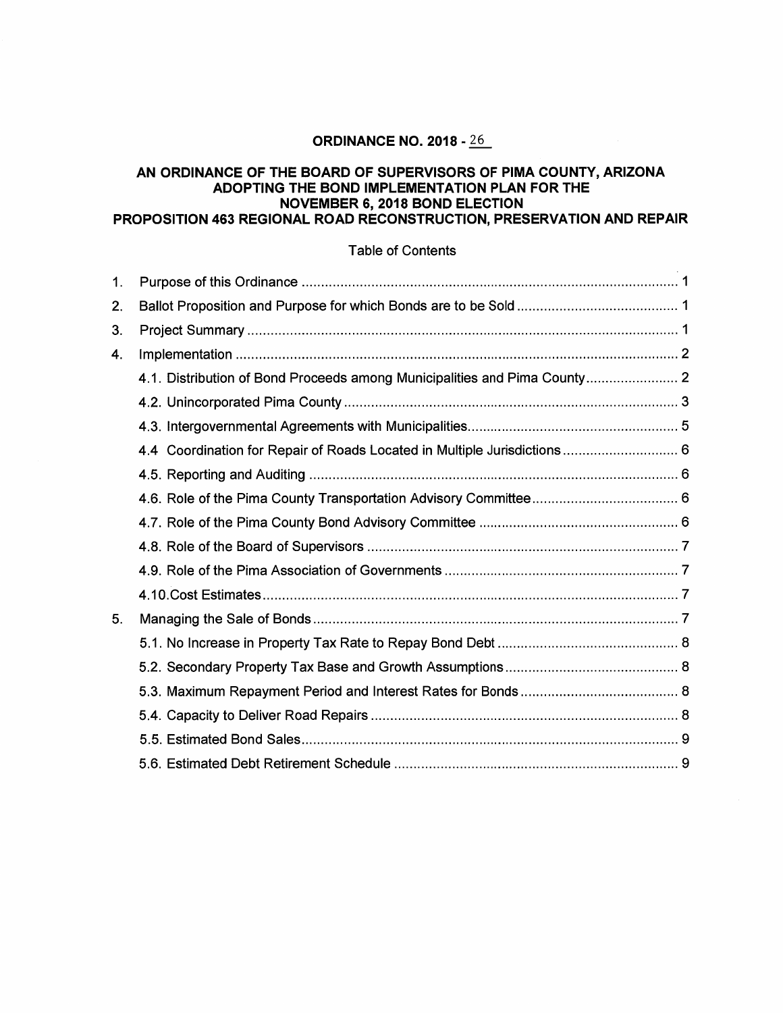# **ORDINANCE NO. 2018 - 26**

### **AN ORDINANCE OF THE BOARD OF SUPERVISORS OF PIMA COUNTY, ARIZONA ADOPTING THE BOND IMPLEMENTATION PLAN FOR THE NOVEMBER 6, 2018 BOND ELECTION PROPOSITION 463 REGIONAL ROAD RECONSTRUCTION, PRESERVATION AND REPAIR**

### Table of Contents

| 1. |                                                                           |  |
|----|---------------------------------------------------------------------------|--|
| 2. |                                                                           |  |
| 3. |                                                                           |  |
| 4. |                                                                           |  |
|    | 4.1. Distribution of Bond Proceeds among Municipalities and Pima County 2 |  |
|    |                                                                           |  |
|    |                                                                           |  |
|    | 4.4 Coordination for Repair of Roads Located in Multiple Jurisdictions  6 |  |
|    |                                                                           |  |
|    |                                                                           |  |
|    |                                                                           |  |
|    |                                                                           |  |
|    |                                                                           |  |
|    |                                                                           |  |
| 5. |                                                                           |  |
|    |                                                                           |  |
|    |                                                                           |  |
|    |                                                                           |  |
|    |                                                                           |  |
|    |                                                                           |  |
|    |                                                                           |  |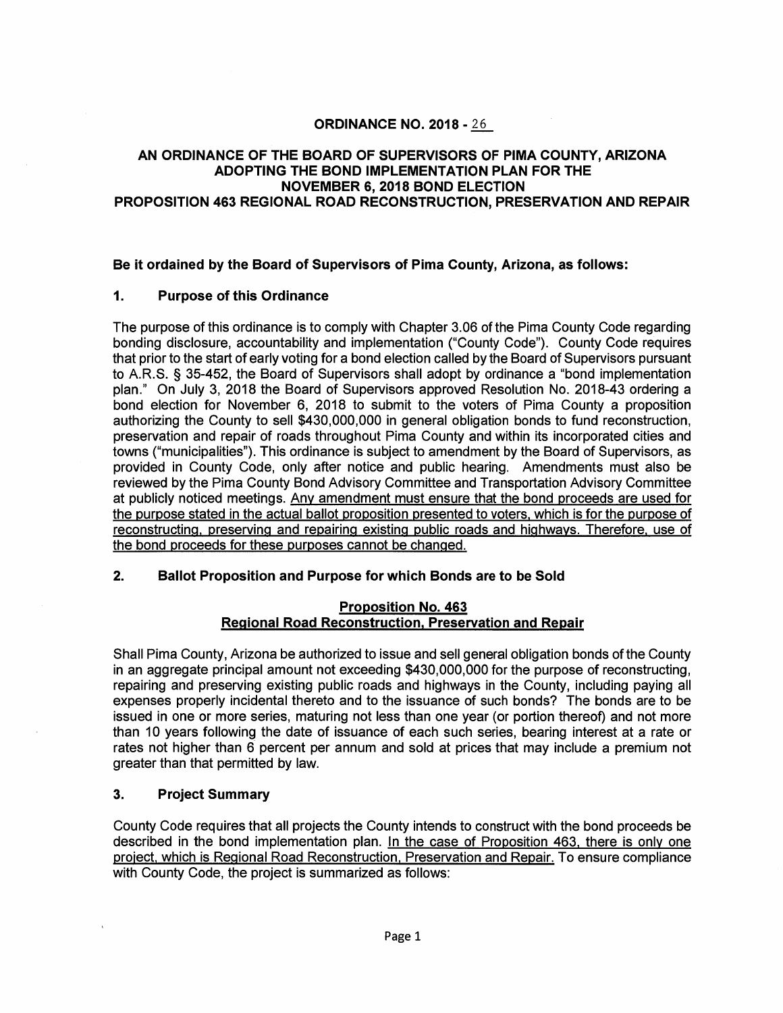## **ORDINANCE NO. 2018 - 26**

#### **AN ORDINANCE OF THE BOARD OF SUPERVISORS OF PIMA COUNTY, ARIZONA ADOPTING THE BOND IMPLEMENTATION PLAN FOR THE NOVEMBER 6, 2018 BOND ELECTION PROPOSITION 463 REGIONAL ROAD RECONSTRUCTION, PRESERVATION AND REPAIR**

#### **Be it ordained by the Board of Supervisors of Pima County, Arizona, as follows:**

### **1. Purpose of this Ordinance**

The purpose of this ordinance is to comply with Chapter 3.06 of the Pima County Code regarding bonding disclosure, accountability and implementation ("County Code"). County Code requires that prior to the start of early voting for a bond election called by the Board of Supervisors pursuant to A.R.S. § 35-452, the Board of Supervisors shall adopt by ordinance a "bond implementation plan." On July 3, 2018 the Board of Supervisors approved Resolution No. 2018-43 ordering a bond election for November 6, 2018 to submit to the voters of Pima County a proposition authorizing the County to sell \$430,000,000 in general obligation bonds to fund reconstruction, preservation and repair of roads throughout Pima County and within its incorporated cities and towns ("municipalities"). This ordinance is subject to amendment by the Board of Supervisors, as provided in County Code, only after notice and public hearing. Amendments must also be reviewed by the Pima County Bond Advisory Committee and Transportation Advisory Committee at publicly noticed meetings. Any amendment must ensure that the bond proceeds are used for the purpose stated in the actual ballot proposition presented to voters, which is for the purpose of reconstructing, preserving and repairing existing public roads and highways. Therefore. use of the bond proceeds for these purposes cannot be changed.

### **2. Ballot Proposition and Purpose for which Bonds are to be Sold**

#### **Proposition No. 463 Regional Road Reconstruction, Preservation and Repair**

Shall Pima County, Arizona be authorized to issue and sell general obligation bonds of the County in an aggregate principal amount not exceeding \$430,000,000 for the purpose of reconstructing, repairing and preserving existing public roads and highways in the County, including paying all expenses properly incidental thereto and to the issuance of such bonds? The bonds are to be issued in one or more series, maturing not less than one year ( or portion thereof) and not more than 10 years following the date of issuance of each such series, bearing interest at a rate or rates not higher than 6 percent per annum and sold at prices that may include a premium not greater than that permitted by law.

### **3. Project Summary**

County Code requires that all projects the County intends to construct with the bond proceeds be described in the bond implementation plan. In the case of Proposition 463, there is only one project, which is Regional Road Reconstruction, Preservation and Repair. To ensure compliance with County Code, the project is summarized as follows: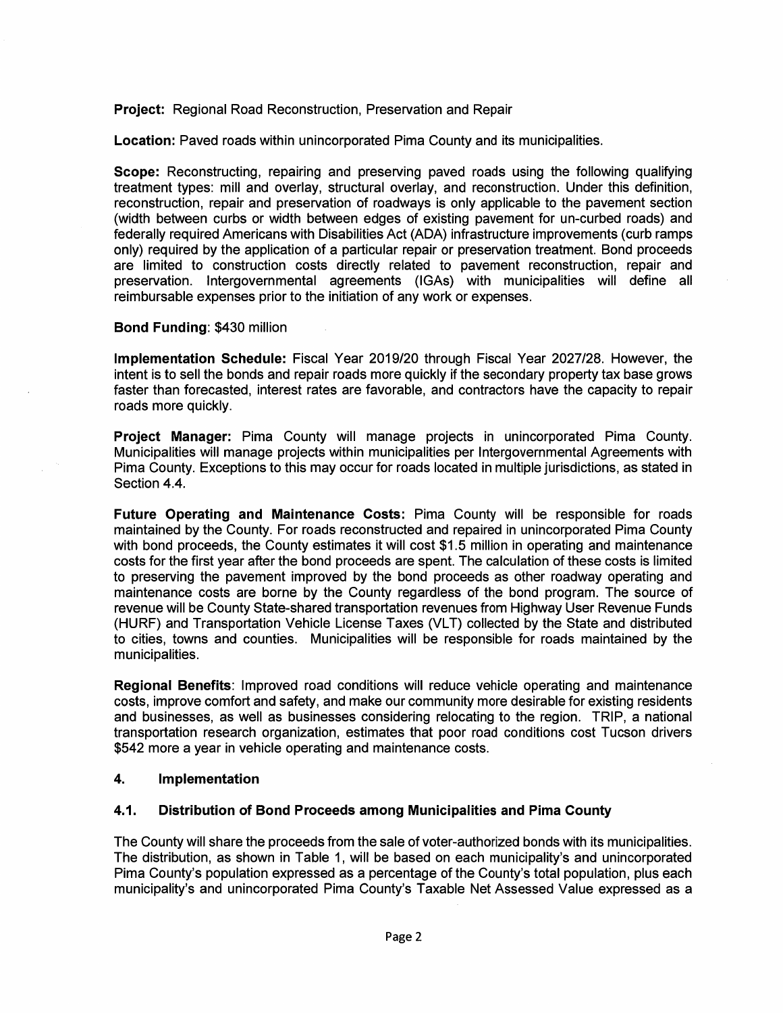**Project:** Regional Road Reconstruction, Preservation and Repair

**Location:** Paved roads within unincorporated Pima County and its municipalities.

**Scope:** Reconstructing, repairing and preserving paved roads using the following qualifying treatment types: mill and overlay, structural overlay, and reconstruction. Under this definition, reconstruction, repair and preservation of roadways is only applicable to the pavement section (width between curbs or width between edges of existing pavement for un-curbed roads) and federally required Americans with Disabilities Act (ADA) infrastructure improvements (curb ramps only) required by the application of a particular repair or preservation treatment. Bond proceeds are limited to construction costs directly related to pavement reconstruction, repair and preservation. Intergovernmental agreements (IGAs) with municipalities will define all reimbursable expenses prior to the initiation of any work or expenses.

### **Bond Funding:** \$430 million

**Implementation Schedule:** Fiscal Year 2019/20 through Fiscal Year 2027/28. However, the intent is to sell the bonds and repair roads more quickly if the secondary property tax base grows faster than forecasted, interest rates are favorable, and contractors have the capacity to repair roads more quickly.

**Project Manager:** Pima County will manage projects in unincorporated Pima County. Municipalities will manage projects within municipalities per Intergovernmental Agreements with Pima County. Exceptions to this may occur for roads located in multiple jurisdictions, as stated in Section 4.4.

**Future Operating and Maintenance Costs:** Pima County will be responsible for roads maintained by the County. For roads reconstructed and repaired in unincorporated Pima County with bond proceeds, the County estimates it will cost \$1.5 million in operating and maintenance costs for the first year after the bond proceeds are spent. The calculation of these costs is limited to preserving the pavement improved by the bond proceeds as other roadway operating and maintenance costs are borne by the County regardless of the bond program. The source of revenue will be County State-shared transportation revenues from Highway User Revenue Funds (HURF) and Transportation Vehicle License Taxes (VLT) collected by the State and distributed to cities, towns and counties. Municipalities will be responsible for roads maintained by the municipalities.

**Regional Benefits:** Improved road conditions will reduce vehicle operating and maintenance costs, improve comfort and safety, and make our community more desirable for existing residents and businesses, as well as businesses considering relocating to the region. TRIP, a national transportation research organization, estimates that poor road conditions cost Tucson drivers \$542 more a year in vehicle operating and maintenance costs.

### **4. Implementation**

### **4.1. Distribution of Bond Proceeds among Municipalities and Pima County**

The County will share the proceeds from the sale of voter-authorized bonds with its municipalities. The distribution, as shown in Table 1, will be based on each municipality's and unincorporated Pima County's population expressed as a percentage of the County's total population, plus each municipality's and unincorporated Pima County's Taxable Net Assessed Value expressed as a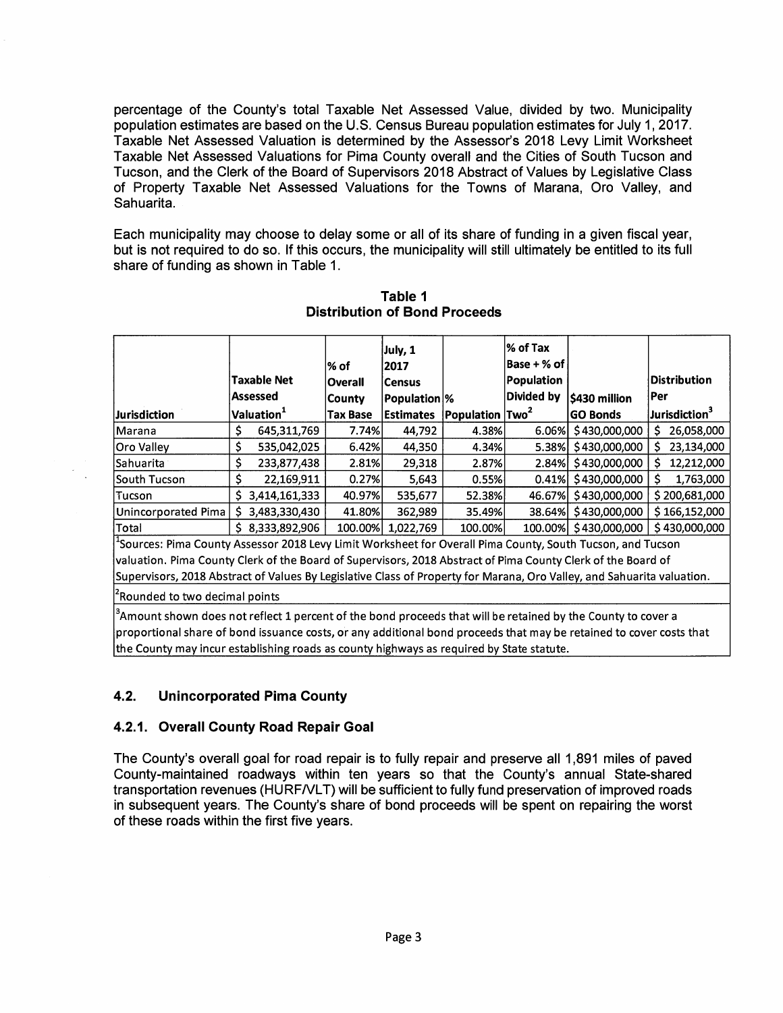percentage of the County's total Taxable Net Assessed Value, divided by two. Municipality population estimates are based on the U.S. Census Bureau population estimates for July 1, 2017. Taxable Net Assessed Valuation is determined by the Assessor's 2018 Levy Limit Worksheet Taxable Net Assessed Valuations for Pima County overall and the Cities of South Tucson and Tucson, and the Clerk of the Board of Supervisors 2018 Abstract of Values by Legislative Class of Property Taxable Net Assessed Valuations for the Towns of Marana, Oro Valley, and Sahuarita.

Each municipality may choose to delay some or all of its share of funding in a given fiscal year, but is not required to do so. If this occurs, the municipality will still ultimately be entitled to its full share of funding as shown in Table 1.

|                                                                                                                                                                                                                                         | Taxable Net<br>Assessed                                                                                                | ∣% of<br><b>Overall</b><br><b>County</b> | July, 1<br>2017<br> Census<br>Population % |                             | % of Tax<br>Base $+$ % of<br>Population<br>Divided by | \$430 million           | <b>Distribution</b><br>Per |  |  |
|-----------------------------------------------------------------------------------------------------------------------------------------------------------------------------------------------------------------------------------------|------------------------------------------------------------------------------------------------------------------------|------------------------------------------|--------------------------------------------|-----------------------------|-------------------------------------------------------|-------------------------|----------------------------|--|--|
| <b>Jurisdiction</b>                                                                                                                                                                                                                     | Valuation <sup>1</sup>                                                                                                 | <b>Tax Base</b>                          | <b>Estimates</b>                           | Population Two <sup>2</sup> |                                                       | <b>GO Bonds</b>         | Jurisdiction $^{\rm 3}$    |  |  |
| Marana                                                                                                                                                                                                                                  | \$<br>645,311,769                                                                                                      | 7.74%                                    | 44,792                                     | 4.38%                       |                                                       | 6.06% \$430,000,000     | 26,058,000<br>S.           |  |  |
| Oro Vallev                                                                                                                                                                                                                              | \$<br>535,042,025                                                                                                      | 6.42%                                    | 44,350                                     | 4.34%                       |                                                       | 5.38% \$430,000,000     | 23,134,000<br>S.           |  |  |
| Sahuarita                                                                                                                                                                                                                               | \$<br>233,877,438                                                                                                      | 2.81%                                    | 29,318                                     | 2.87%                       |                                                       | 2.84% \$430,000,000     | 12,212,000<br>S            |  |  |
| South Tucson                                                                                                                                                                                                                            | \$<br>22,169,911                                                                                                       | 0.27%                                    | 5,643                                      | 0.55%                       |                                                       | $0.41\%$ \$430,000,000  | S.<br>1,763,000            |  |  |
| Tucson                                                                                                                                                                                                                                  | Ś<br>3,414,161,333                                                                                                     | 40.97%                                   | 535,677                                    | 52.38%                      |                                                       | 46.67% \$430,000,000    | \$200,681,000              |  |  |
| Unincorporated Pima                                                                                                                                                                                                                     | Ś.<br>3,483,330,430                                                                                                    | 41.80%                                   | 362,989                                    | 35.49%                      |                                                       | 38.64% \$430,000,000    | \$166,152,000              |  |  |
| Total                                                                                                                                                                                                                                   | \$3,333,892,906                                                                                                        | 100.00%                                  | 1,022,769                                  | 100.00%                     |                                                       | 100.00%   \$430.000.000 | \$430,000,000              |  |  |
|                                                                                                                                                                                                                                         | <sup>1</sup> Sources: Pima County Assessor 2018 Levy Limit Worksheet for Overall Pima County, South Tucson, and Tucson |                                          |                                            |                             |                                                       |                         |                            |  |  |
| valuation. Pima County Clerk of the Board of Supervisors, 2018 Abstract of Pima County Clerk of the Board of                                                                                                                            |                                                                                                                        |                                          |                                            |                             |                                                       |                         |                            |  |  |
| Supervisors, 2018 Abstract of Values By Legislative Class of Property for Marana, Oro Valley, and Sahuarita valuation.                                                                                                                  |                                                                                                                        |                                          |                                            |                             |                                                       |                         |                            |  |  |
| Rounded to two decimal points                                                                                                                                                                                                           |                                                                                                                        |                                          |                                            |                             |                                                       |                         |                            |  |  |
| $^3$ Amount shown does not reflect 1 percent of the bond proceeds that will be retained by the County to cover a<br>proportional share of bond issuance costs, or any additional bond proceeds that may be retained to cover costs that |                                                                                                                        |                                          |                                            |                             |                                                       |                         |                            |  |  |

**Table 1 Distribution of Bond Proceeds** 

## **4.2. Unincorporated Pima County**

### **4.2.1. Overall County Road Repair Goal**

The County's overall goal for road repair is to fully repair and preserve all 1,891 miles of paved County-maintained roadways within ten years so that the County's annual State-shared transportation revenues (HURFNLT) will be sufficient to fully fund preservation of improved roads in subsequent years. The County's share of bond proceeds will be spent on repairing the worst of these roads within the first five years.

the County may incur establishing roads as county highways as required by State statute.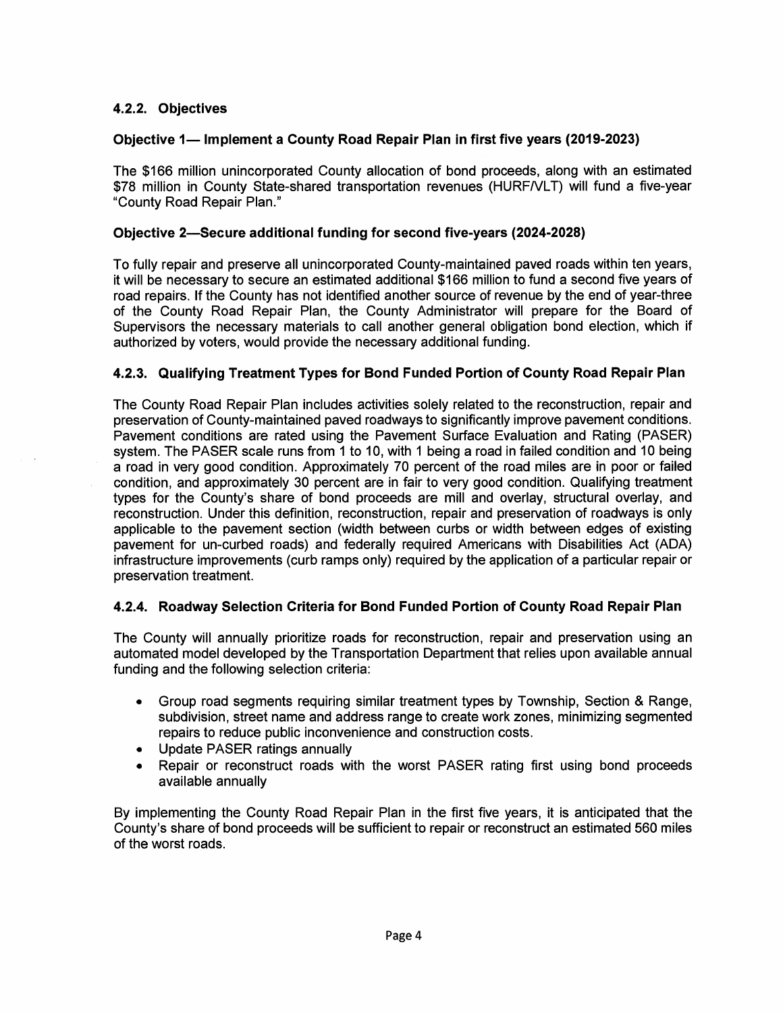# **4.2.2. Objectives**

### **Objective 1— Implement a County Road Repair Plan in first five years (2019-2023)**

The \$166 million unincorporated County allocation of bond proceeds, along with an estimated \$78 million in County State-shared transportation revenues (HURF/VLT) will fund a five-year "County Road Repair Plan."

### **Objective 2-Secure additional funding for second five-years (2024-2028)**

To fully repair and preserve all unincorporated County-maintained paved roads within ten years, it will be necessary to secure an estimated additional \$166 million to fund a second five years of road repairs. If the County has not identified another source of revenue by the end of year-three of the County Road Repair Plan, the County Administrator will prepare for the Board of Supervisors the necessary materials to call another general obligation bond election, which if authorized by voters, would provide the necessary additional funding.

## **4.2.3. Qualifying Treatment Types for Bond Funded Portion of County Road Repair Plan**

The County Road Repair Plan includes activities solely related to the reconstruction, repair and preservation of County-maintained paved roadways to significantly improve pavement conditions. Pavement conditions are rated using the Pavement Surface Evaluation and Rating (PASER) system. The PASER scale runs from 1 to 10, with 1 being a road in failed condition and 10 being a road in very good condition. Approximately 70 percent of the road miles are in poor or failed condition, and approximately 30 percent are in fair to very good condition. Qualifying treatment types for the County's share of bond proceeds are mill and overlay, structural overlay, and reconstruction. Under this definition, reconstruction, repair and preservation of roadways is only applicable to the pavement section (width between curbs or width between edges of existing pavement for un-curbed roads) and federally required Americans with Disabilities Act (ADA) infrastructure improvements (curb ramps only) required by the application of a particular repair or preservation treatment.

### **4.2.4. Roadway Selection Criteria for Bond Funded Portion of County Road Repair Plan**

The County will annually prioritize roads for reconstruction, repair and preservation using an automated model developed by the Transportation Department that relies upon available annual funding and the following selection criteria:

- Group road segments requiring similar treatment types by Township, Section & Range, subdivision, street name and address range to create work zones, minimizing segmented repairs to reduce public inconvenience and construction costs.
- Update PASER ratings annually
- Repair or reconstruct roads with the worst PASER rating first using bond proceeds available annually

By implementing the County Road Repair Plan in the first five years, it is anticipated that the County's share of bond proceeds will be sufficient to repair or reconstruct an estimated 560 miles of the worst roads.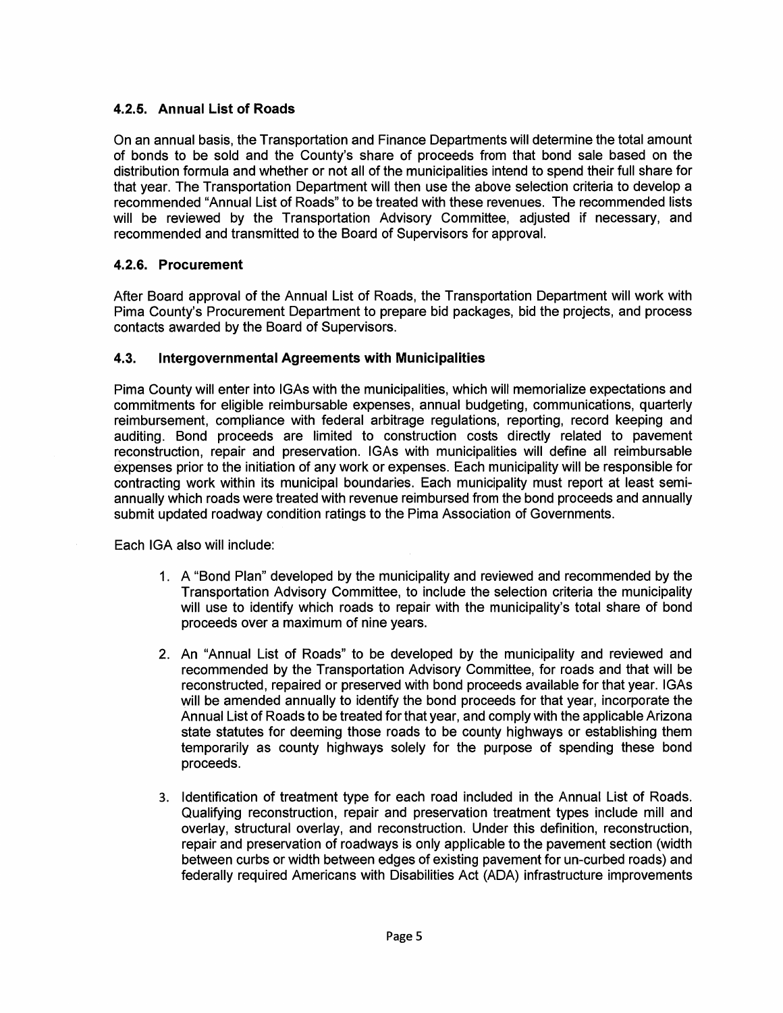## **4.2.5. Annual List of Roads**

On an annual basis, the Transportation and Finance Departments will determine the total amount of bonds to be sold and the County's share of proceeds from that bond sale based on the distribution formula and whether or not all of the municipalities intend to spend their full share for that year. The Transportation Department will then use the above selection criteria to develop a recommended "Annual List of Roads" to be treated with these revenues. The recommended lists will be reviewed by the Transportation Advisory Committee, adjusted if necessary, and recommended and transmitted to the Board of Supervisors for approval.

### **4.2.6. Procurement**

After Board approval of the Annual List of Roads, the Transportation Department will work with Pima County's Procurement Department to prepare bid packages, bid the projects, and process contacts awarded by the Board of Supervisors.

### **4.3. Intergovernmental Agreements with Municipalities**

Pima County will enter into IGAs with the municipalities, which will memorialize expectations and commitments for eligible reimbursable expenses, annual budgeting, communications, quarterly reimbursement, compliance with federal arbitrage regulations, reporting, record keeping and auditing. Bond proceeds are limited to construction costs directly related to pavement reconstruction, repair and preservation. IGAs with municipalities will define all reimbursable expenses prior to the initiation of any work or expenses. Each municipality will be responsible for contracting work within its municipal boundaries. Each municipality must report at least semiannually which roads were treated with revenue reimbursed from the bond proceeds and annually submit updated roadway condition ratings to the Pima Association of Governments.

Each IGA also will include:

- 1. A "Bond Plan" developed by the municipality and reviewed and recommended by the Transportation Advisory Committee, to include the selection criteria the municipality will use to identify which roads to repair with the municipality's total share of bond proceeds over a maximum of nine years.
- 2. An "Annual List of Roads" to be developed by the municipality and reviewed and recommended by the Transportation Advisory Committee, for roads and that will be reconstructed, repaired or preserved with bond proceeds available for that year. IGAs will be amended annually to identify the bond proceeds for that year, incorporate the Annual List of Roads to be treated for that year, and comply with the applicable Arizona state statutes for deeming those roads to be county highways or establishing them temporarily as county highways solely for the purpose of spending these bond proceeds.
- 3. Identification of treatment type for each road included in the Annual List of Roads. Qualifying reconstruction, repair and preservation treatment types include mill and overlay, structural overlay, and reconstruction. Under this definition, reconstruction, repair and preservation of roadways is only applicable to the pavement section (width between curbs or width between edges of existing pavement for un-curbed roads) and federally required Americans with Disabilities Act (ADA) infrastructure improvements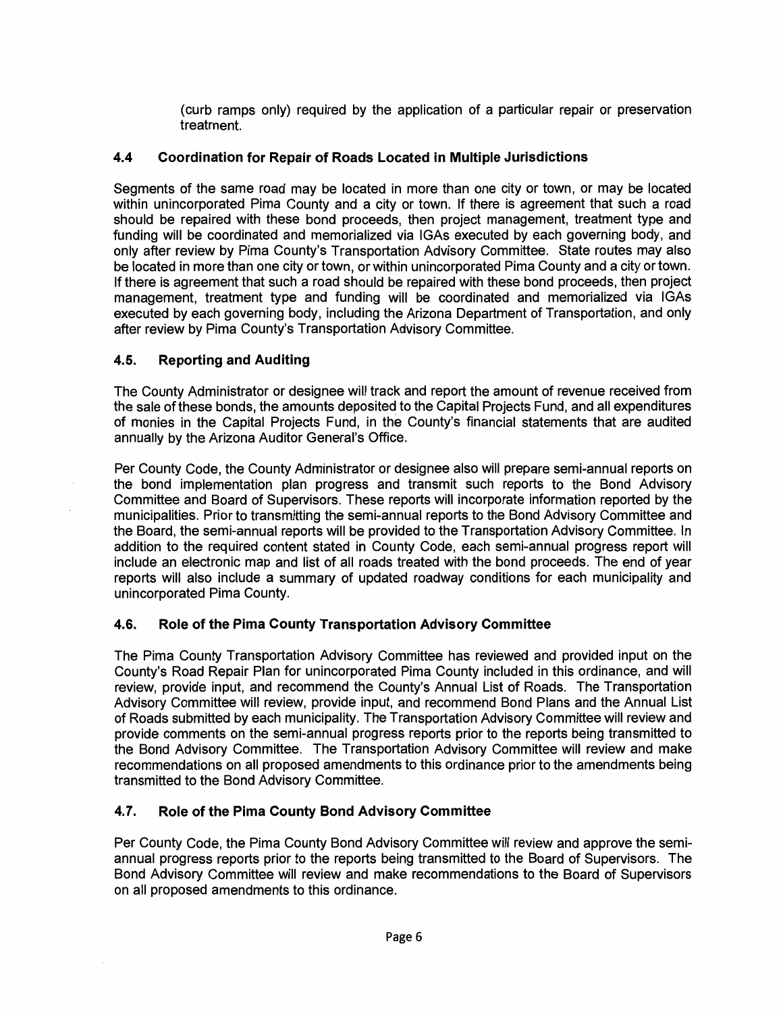( curb ramps only) required by the application of a particular repair or preservation treatment.

### **4.4 Coordination for Repair of Roads Located in Multiple Jurisdictions**

Segments of the same road may be located in more than one city or town, or may be located within unincorporated Pima County and a city or town. If there is agreement that such a road should be repaired with these bond proceeds, then project management, treatment type and funding will be coordinated and memorialized via IGAs executed by each governing body, and only after review by Pima County's Transportation Advisory Committee. State routes may also be located in more than one city or town, or within unincorporated Pima County and a city or town. If there is agreement that such a road should be repaired with these bond proceeds, then project management, treatment type and funding will be coordinated and memorialized via IGAs executed by each governing body, including the Arizona Department of Transportation, and only after review by Pima County's Transportation Advisory Committee.

### **4.5. Reporting and Auditing**

The County Administrator or designee will track and report the amount of revenue received from the sale of these bonds, the amounts deposited to the Capital Projects Fund, and all expenditures of monies in the Capital Projects Fund, in the County's financial statements that are audited annually by the Arizona Auditor General's Office.

Per County Code, the County Administrator or designee also will prepare semi-annual reports on the bond implementation plan progress and transmit such reports to the Bond Advisory Committee and Board of Supervisors. These reports will incorporate information reported by the municipalities. Prior to transmitting the semi-annual reports to the Bond Advisory Committee and the Board, the semi-annual reports will be provided to the Transportation Advisory Committee. In addition to the required content stated in County Code, each semi-annual progress report will include an electronic map and list of all roads treated with the bond proceeds. The end of year reports will also include a summary of updated roadway conditions for each municipality and unincorporated Pima County.

## **4.6. Role of the Pima County Transportation Advisory Committee**

The Pima County Transportation Advisory Committee has reviewed and provided input on the County's Road Repair Plan for unincorporated Pima County included in this ordinance, and will review, provide input, and recommend the County's Annual List of Roads. The Transportation Advisory Committee will review, provide input, and recommend Bond Plans and the Annual List of Roads submitted by each municipality. The Transportation Advisory Committee will review and provide comments on the semi-annual progress reports prior to the reports being transmitted to the Bond Advisory Committee. The Transportation Advisory Committee will review and make recommendations on all proposed amendments to this ordinance prior to the amendments being transmitted to the Bond Advisory Committee.

### **4.7. Role of the Pima County Bond Advisory Committee**

Per County Code, the Pima County Bond Advisory Committee will review and approve the semiannual progress reports prior to the reports being transmitted to the Board of Supervisors. The Bond Advisory Committee will review and make recommendations to the Board of Supervisors on all proposed amendments to this ordinance.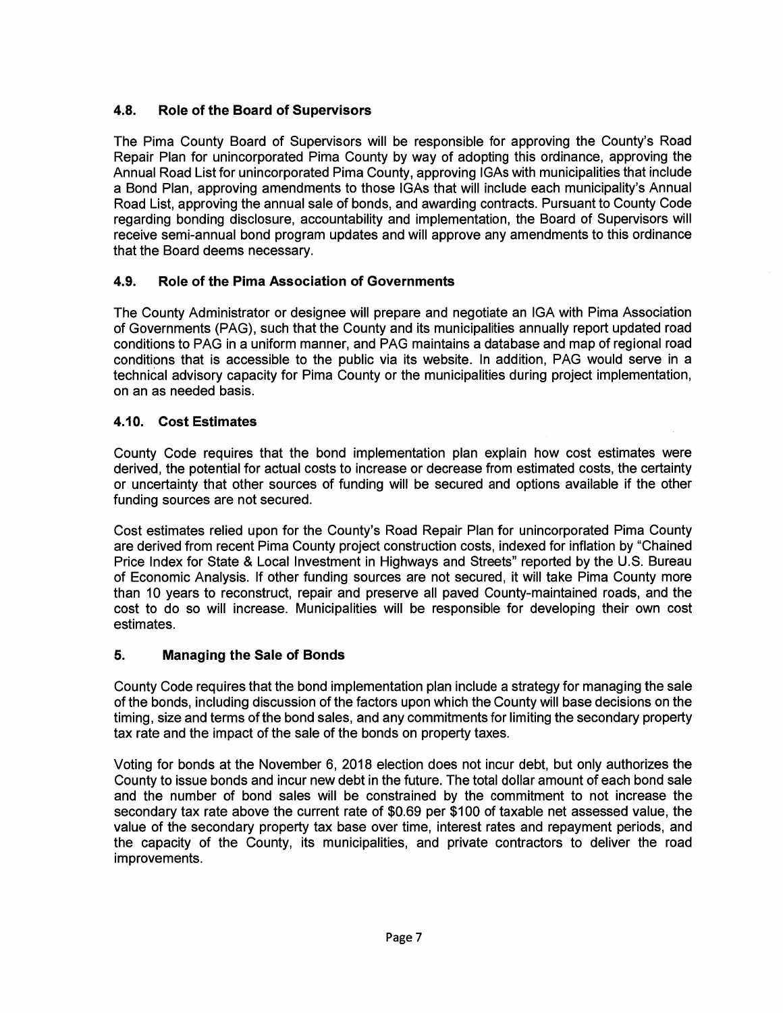# **4.8. Role of the Board of Supervisors**

The Pima County Board of Supervisors will be responsible for approving the County's Road Repair Plan for unincorporated Pima County by way of adopting this ordinance, approving the Annual Road List for unincorporated Pima County, approving IGAs with municipalities that include a Bond Plan, approving amendments to those IGAs that will include each municipality's Annual Road List, approving the annual sale of bonds, and awarding contracts. Pursuant to County Code regarding bonding disclosure, accountability and implementation, the Board of Supervisors will receive semi-annual bond program updates and will approve any amendments to this ordinance that the Board deems necessary.

# **4.9. Role of the Pima Association of Governments**

The County Administrator or designee will prepare and negotiate an IGA with Pima Association of Governments (PAG), such that the County and its municipalities annually report updated road conditions to PAG in a uniform manner, and PAG maintains a database and map of regional road conditions that is accessible to the public via its website. In addition, PAG would serve in a technical advisory capacity for Pima County or the municipalities during project implementation, on an as needed basis.

# **4.10. Cost Estimates**

County Code requires that the bond implementation plan explain how cost estimates were derived, the potential for actual costs to increase or decrease from estimated costs, the certainty or uncertainty that other sources of funding will be secured and options available if the other funding sources are not secured.

Cost estimates relied upon for the County's Road Repair Plan for unincorporated Pima County are derived from recent Pima County project construction costs, indexed for inflation by "Chained Price Index for State & Local Investment in Highways and Streets" reported by the U.S. Bureau of Economic Analysis. If other funding sources are not secured, it will take Pima County more than 10 years to reconstruct, repair and preserve all paved County-maintained roads, and the cost to do so will increase. Municipalities will be responsible for developing their own cost estimates.

## **5. Managing the Sale of Bonds**

County Code requires that the bond implementation plan include a strategy for managing the sale of the bonds, including discussion of the factors upon which the County will base decisions on the timing, size and terms of the bond sales, and any commitments for limiting the secondary property tax rate and the impact of the sale of the bonds on property taxes.

Voting for bonds at the November 6, 2018 election does not incur debt, but only authorizes the County to issue bonds and incur new debt in the future. The total dollar amount of each bond sale and the number of bond sales will be constrained by the commitment to not increase the secondary tax rate above the current rate of \$0.69 per \$100 of taxable net assessed value, the value of the secondary property tax base over time, interest rates and repayment periods, and the capacity of the County, its municipalities, and private contractors to deliver the road improvements.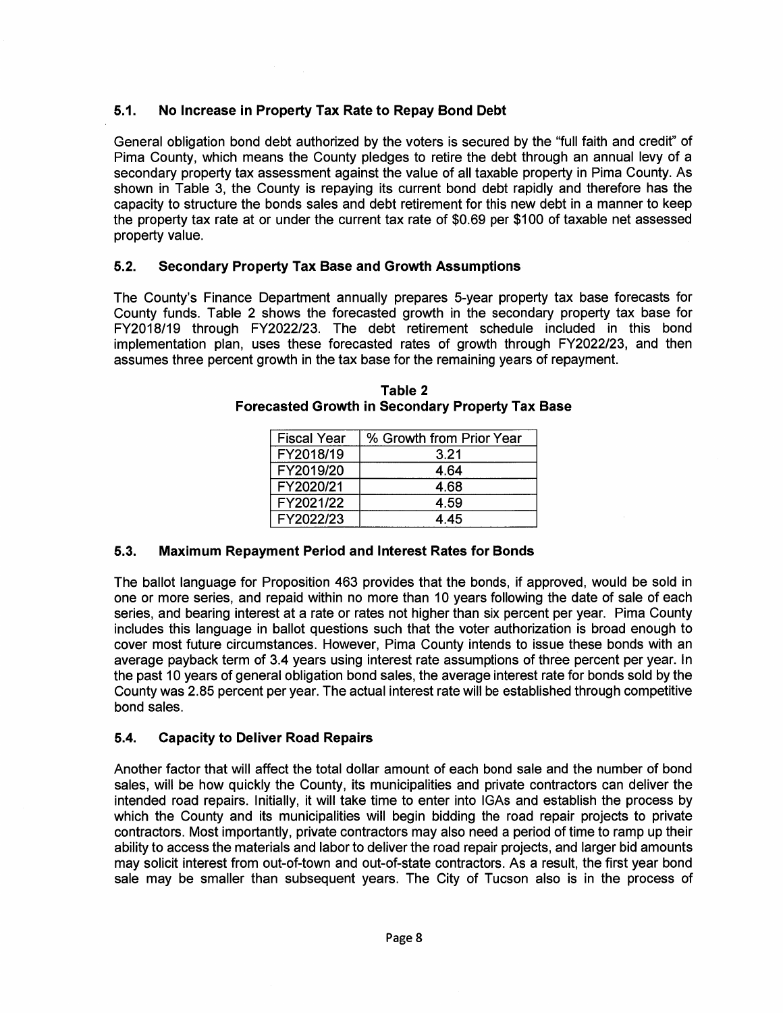## **5.1. No Increase in Property Tax Rate to Repay Bond Debt**

General obligation bond debt authorized by the voters is secured by the "full faith and credit" of Pima County, which means the County pledges to retire the debt through an annual levy of a secondary property tax assessment against the value of all taxable property in Pima County. As shown in Table 3, the County is repaying its current bond debt rapidly and therefore has the capacity to structure the bonds sales and debt retirement for this new debt in a manner to keep the property tax rate at or under the current tax rate of \$0.69 per \$100 of taxable net assessed property value.

#### **5.2. Secondary Property Tax Base and Growth Assumptions**

The County's Finance Department annually prepares 5-year property tax base forecasts for County funds. Table 2 shows the forecasted growth in the secondary property tax base for FY2018/19 through FY2022/23. The debt retirement schedule included in this bond implementation plan, uses these forecasted rates of growth through FY2022/23, and then assumes three percent growth in the tax base for the remaining years of repayment.

| <b>Fiscal Year</b> | % Growth from Prior Year |
|--------------------|--------------------------|
| FY2018/19          | 3.21                     |
| FY2019/20          | 4.64                     |
| FY2020/21          | 4.68                     |
| FY2021/22          | 4.59                     |
| FY2022/23          | 4.45                     |

| Table 2                                                 |  |  |  |  |  |  |
|---------------------------------------------------------|--|--|--|--|--|--|
| <b>Forecasted Growth in Secondary Property Tax Base</b> |  |  |  |  |  |  |

### **5.3. Maximum Repayment Period and Interest Rates for Bonds**

The ballot language for Proposition 463 provides that the bonds, if approved, would be sold in one or more series, and repaid within no more than 10 years following the date of sale of each series, and bearing interest at a rate or rates not higher than six percent per year. Pima County includes this language in ballot questions such that the voter authorization is broad enough to cover most future circumstances. However, Pima County intends to issue these bonds with an average payback term of 3.4 years using interest rate assumptions of three percent per year. In the past 10 years of general obligation bond sales, the average interest rate for bonds sold by the County was 2.85 percent per year. The actual interest rate will be established through competitive bond sales.

### **5.4. Capacity to Deliver Road Repairs**

Another factor that will affect the total dollar amount of each bond sale and the number of bond sales, will be how quickly the County, its municipalities and private contractors can deliver the intended road repairs. Initially, it will take time to enter into IGAs and establish the process by which the County and its municipalities will begin bidding the road repair projects to private contractors. Most importantly, private contractors may also need a period of time to ramp up their ability to access the materials and labor to deliver the road repair projects, and larger bid amounts may solicit interest from out-of-town and out-of-state contractors. As a result, the first year bond sale may be smaller than subsequent years. The City of Tucson also is in the process of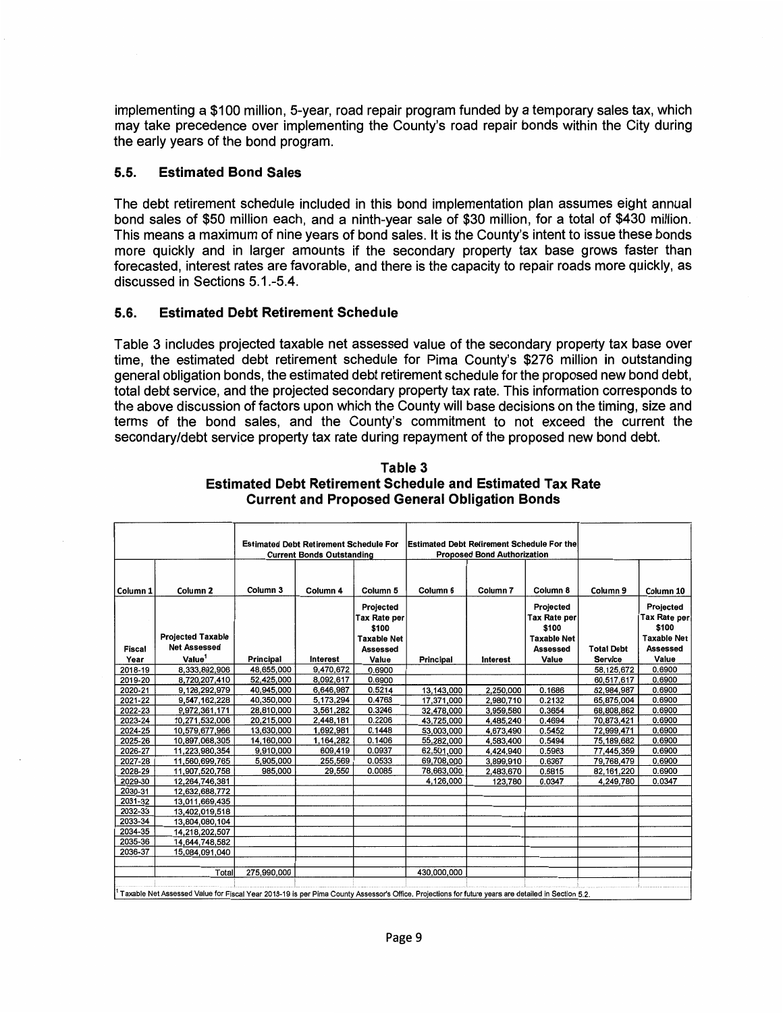implementing a \$100 million, 5-year, road repair program funded by a temporary sales tax, which may take precedence over implementing the County's road repair bonds within the City during the early years of the bond program.

#### **5.5. Estimated Bond Sales**

The debt retirement schedule included in this bond implementation plan assumes eight annual bond sales of \$50 million each, and a ninth-year sale of \$30 million, for a total of \$430 million. This means a maximum of nine years of bond sales. It is the County's intent to issue these bonds more quickly and in larger amounts if the secondary property tax base grows faster than forecasted, interest rates are favorable, and there is the capacity to repair roads more quickly, as discussed in Sections 5.1.-5.4.

### **5.6. Estimated Debt Retirement Schedule**

Table 3 includes projected taxable net assessed value of the secondary property tax base over time, the estimated debt retirement schedule for Pima County's \$276 million in outstanding general obligation bonds, the estimated debt retirement schedule for the proposed new bond debt, total debt service, and the projected secondary property tax rate. This information corresponds to the above discussion of factors upon which the County will base decisions on the timing, size and terms of the bond sales, and the County's commitment to not exceed the current the secondary/debt service property tax rate during repayment of the proposed new bond debt.

|                     |                                                 | <b>Estimated Debt Retirement Schedule For</b><br><b>Current Bonds Outstanding</b> |                        |                                    | <b>Estimated Debt Retirement Schedule For the</b><br><b>Proposed Bond Authorization</b> |                     |                                           |                              |                                       |
|---------------------|-------------------------------------------------|-----------------------------------------------------------------------------------|------------------------|------------------------------------|-----------------------------------------------------------------------------------------|---------------------|-------------------------------------------|------------------------------|---------------------------------------|
| Column <sub>1</sub> | Column <sub>2</sub>                             | Column <sub>3</sub>                                                               | Column 4               | Column <sub>5</sub>                | Column 6                                                                                | Column <sub>7</sub> | Column 8                                  | Column 9                     | Column 10                             |
|                     |                                                 |                                                                                   |                        | Projected<br>Tax Rate per<br>\$100 |                                                                                         |                     | Projected<br><b>Tax Rate per</b><br>\$100 |                              | Projected<br>Tax Rate per<br>\$100    |
|                     | <b>Projected Taxable</b><br><b>Net Assessed</b> |                                                                                   |                        | <b>Taxable Net</b>                 |                                                                                         |                     | <b>Taxable Net</b>                        |                              | <b>Taxable Net</b><br><b>Assessed</b> |
| <b>Fiscal</b>       |                                                 |                                                                                   |                        | <b>Assessed</b>                    |                                                                                         |                     | <b>Assessed</b>                           | <b>Total Debt</b>            | Value                                 |
| Year                | Value <sup>1</sup>                              | Principal                                                                         | <b>Interest</b>        | Value                              | Principal                                                                               | Interest            | Value                                     | <b>Service</b><br>58,125,672 | 0.6900                                |
| 2018-19             | 8,333,892,906<br>8.720.207.410                  | 48,655,000<br>52,425,000                                                          | 9,470,672<br>8,092,617 | 0.6900<br>0.6900                   |                                                                                         |                     |                                           | 60,517,617                   | 0.6900                                |
| 2019-20             | 9,128,292,979                                   | 40,945,000                                                                        | 6,646,987              | 0.5214                             | 13,143,000                                                                              | 2,250,000           | 0.1686                                    | 62.984,987                   | 0.6900                                |
| 2020-21<br>2021-22  | 9,547,162,228                                   | 40,350,000                                                                        | 5,173,294              | 0.4768                             | 17,371,000                                                                              | 2,980,710           | 0.2132                                    | 65,875,004                   | 0.6900                                |
| 2022-23             | 9,972,361,171                                   | 28,810,000                                                                        | 3,561,282              | 0.3246                             | 32,478,000                                                                              | 3.959.580           | 0.3654                                    | 68,808,862                   | 0.6900                                |
| 2023-24             | 10,271,532,006                                  | 20,215,000                                                                        | 2,448,181              | 0.2206                             | 43,725,000                                                                              | 4,485,240           | 0.4694                                    | 70,873,421                   | 0.6900                                |
| 2024-25             | 10,579,677,966                                  | 13,630,000                                                                        | 1,692,981              | 0.1448                             | 53,003,000                                                                              | 4,673,490           | 0.5452                                    | 72,999,471                   | 0.6900                                |
| 2025-26             | 10,897,068,305                                  | 14,160,000                                                                        | 1,164,282              | 0.1406                             | 55,282,000                                                                              | 4.583.400           | 0.5494                                    | 75,189,682                   | 0.6900                                |
| 2026-27             | 11,223,980,354                                  | 9,910,000                                                                         | 609,419                | 0.0937                             | 62,501,000                                                                              | 4,424,940           | 0.5963                                    | 77,445,359                   | 0.6900                                |
| 2027-28             | 11,560,699,765                                  | 5,905,000                                                                         | 255,569                | 0.0533                             | 69,708,000                                                                              | 3,899,910           | 0.6367                                    | 79,768,479                   | 0.6900                                |
| 2028-29             | 11.907,520,758                                  | 985,000                                                                           | 29,550                 | 0.0085                             | 78,663,000                                                                              | 2,483,670           | 0.6815                                    | 82,161,220                   | 0.6900                                |
| 2029-30             | 12,264,746,381                                  |                                                                                   |                        |                                    | 4,126,000                                                                               | 123,780             | 0.0347                                    | 4,249,780                    | 0.0347                                |
| 2030-31             | 12.632.688.772                                  |                                                                                   |                        |                                    |                                                                                         |                     |                                           |                              |                                       |
| 2031-32             | 13,011,669,435                                  |                                                                                   |                        |                                    |                                                                                         |                     |                                           |                              |                                       |
| 2032-33             | 13,402,019,518                                  |                                                                                   |                        |                                    |                                                                                         |                     |                                           |                              |                                       |
| 2033-34             | 13,804,080,104                                  |                                                                                   |                        |                                    |                                                                                         |                     |                                           |                              |                                       |
| 2034-35             | 14,218,202,507                                  |                                                                                   |                        |                                    |                                                                                         |                     |                                           |                              |                                       |
| 2035-36             | 14,644,748,582                                  |                                                                                   |                        |                                    |                                                                                         |                     |                                           |                              |                                       |
| 2036-37             | 15,084,091,040                                  |                                                                                   |                        |                                    |                                                                                         |                     |                                           |                              |                                       |
|                     | Total                                           | 275,990,000                                                                       |                        |                                    | 430.000.000                                                                             |                     |                                           |                              |                                       |

**Table 3 Estimated Debt Retirement Schedule and Estimated Tax Rate Current and Proposed General Obligation Bonds** 

<sup>1</sup>Taxable Net Assessed Value for Fiscal Year 2018-19 is per Pima County Assessor's Office. Projections for future years are detailed in Section 5.2.